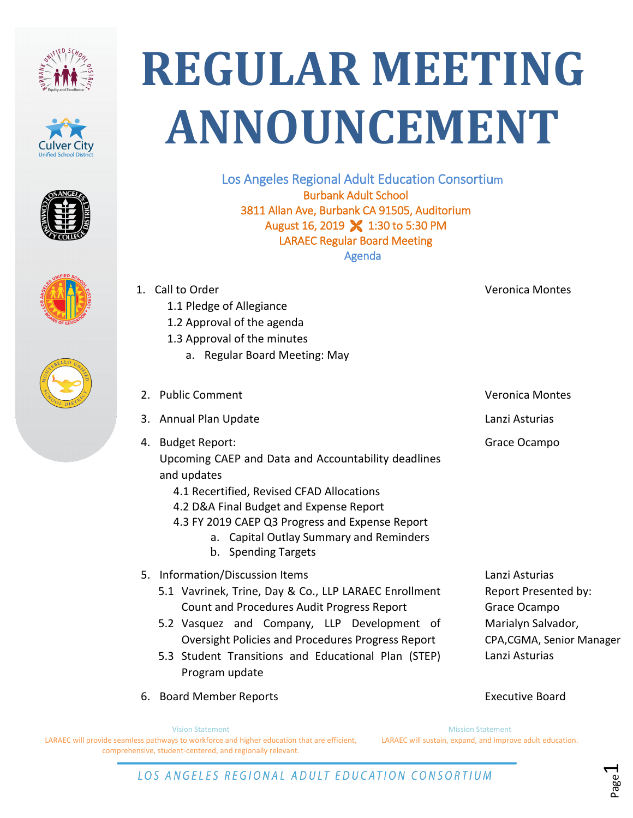







1. Call to Order

4. Budget Report:

and updates

1.1 Pledge of Allegiance 1.2 Approval of the agenda





## **REGULAR MEETING ANNOUNCEMENT**

Los Angeles Regional Adult Education Consortium Burbank Adult School 3811 Allan Ave, Burbank CA 91505, Auditorium August 16, 2019 **X** 1:30 to 5:30 PM LARAEC Regular Board Meeting Agenda

1.3 Approval of the minutes a. Regular Board Meeting: May 2. Public Comment Commet Comment Communication Communication of the Veronica Montes 3. Annual Plan Update Lanzi Asturias Upcoming CAEP and Data and Accountability deadlines 4.1 Recertified, Revised CFAD Allocations 4.2 D&A Final Budget and Expense Report 4.3 FY 2019 CAEP Q3 Progress and Expense Report a. Capital Outlay Summary and Reminders b. Spending Targets Grace Ocampo 5. Information/Discussion Items 5.1 Vavrinek, Trine, Day & Co., LLP LARAEC Enrollment Count and Procedures Audit Progress Report 5.2 Vasquez and Company, LLP Development of Oversight Policies and Procedures Progress Report 5.3 Student Transitions and Educational Plan (STEP) Lanzi Asturias Report Presented by: Grace Ocampo Marialyn Salvador, CPA,CGMA, Senior Manager Lanzi Asturias

Veronica Montes

Vision Statement LARAEC will provide seamless pathways to workforce and higher education that are efficient, Mission Statement LARAEC will sustain, expand, and improve adult education. 6. Board Member Reports Executive Board

Program update